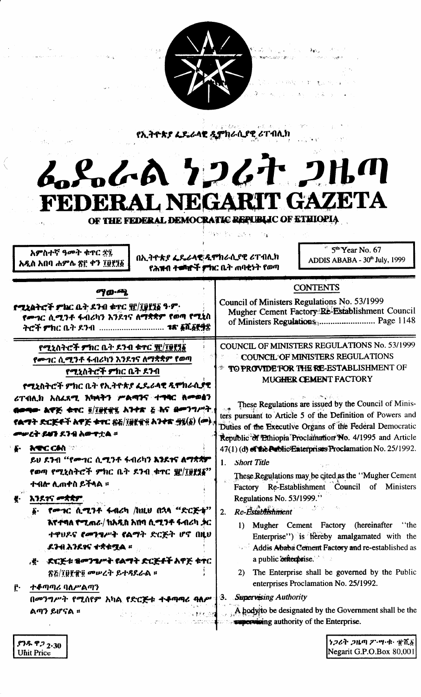

終った きしょうし

医排轻 医虹膜动物 经外

 $\mathcal{L}_{\mathbf{X}} \cong \mathcal{L}_{\mathbf{X}}$ 

የኢትዮጵያ ፌዴራላዊ ዲምክራሲያዊ ሪፐብሊክ

## 6.8.6A 7267 **DH GAZ** ETA FEDERAL NE GAR

OF THE FEDERAL DEMOCRATIC REPUBLIC OF ETHIOPIA

Unit Price

| and the process of the same process of the process of the same                                                                                                         | 李华树 轻 微致 冷艇                                                                                                                                                                                                                                                             |
|------------------------------------------------------------------------------------------------------------------------------------------------------------------------|-------------------------------------------------------------------------------------------------------------------------------------------------------------------------------------------------------------------------------------------------------------------------|
| አምስተኛ ዓመት ቁጥር ድ፯<br>በኢትዮጵያ ፌዴራላዊ ዲሞክራሲያዊ ሪፐብሊክ<br>አዲስ አበባ ሐምሌ ጽ፫ ቀን ፲፬፻፺፩<br>የሕዝብ ተመነዮች ምክር ቤት ጠባቂነት የወጣ                                                               | $*$ 5 <sup>th</sup> Year No. 67<br>ADDIS ABABA - 30th July, 1999                                                                                                                                                                                                        |
| <b>ማውጫ</b>                                                                                                                                                             | <b>CONTENTS</b>                                                                                                                                                                                                                                                         |
| <b>የሚኒስትሮች ምክር ቤት ዶንብ ቁ</b> ዋር ዧ/፲፱፻፺፩ ዓ·ም·                                                                                                                            | Council of Ministers Regulations No. 53/1999                                                                                                                                                                                                                            |
| የሙገር ሲሚንቶ ፋብሪካን እንደገና ለማቋቋም የወጣ የሚኒስ                                                                                                                                   | Mugher Cement Factory:Re-Establishment Council                                                                                                                                                                                                                          |
| ትሮች ምክር ቤት ደንብ <i><b>18' ፩ሺ፩፻</b></i> ቋ                                                                                                                                |                                                                                                                                                                                                                                                                         |
| የሚኒስትሮች ምክር ቤት ደንብ ቁተር ያር/፲፱፻፺፩                                                                                                                                        | COUNCIL OF MINISTERS REGULATIONS No. 53/1999                                                                                                                                                                                                                            |
| የሙገር ሲሚንቶ ፋብሪካን እንደገና ለማቋቋም የወጣ                                                                                                                                        | COUNCIL OF MINISTERS REGULATIONS                                                                                                                                                                                                                                        |
| የሚኒስትሮች ምክር ቤት ደንብ                                                                                                                                                     | TO PROVIDE FOR THE RE-ESTABLISHMENT OF                                                                                                                                                                                                                                  |
| የሚኔስትሮች ምክር ቤት የኢትዮጵያ ፌዴራላዊ ዲሞክራሲያዊ                                                                                                                                    | MUGHER CEMENT FACTORY                                                                                                                                                                                                                                                   |
| ሪፐብሊክ አስፈጻሚ እካላትን ሥልጣንና ተግባር ስምወፅን                                                                                                                                     | These Regulations are issued by the Council of Minis-                                                                                                                                                                                                                   |
| በወጣው ልዋጅ ቱተር ፬/፲፱፻፹፯ አንተጽ ፩ እና ደመንግሥት.                                                                                                                                 | ters pursuant to Article 5 of the Definition of Powers and                                                                                                                                                                                                              |
| የልማት ድርጅቶች አዋጅ ቁዋር <u>ጽ</u> ≨/፲፱፻፹፬ አንቀጽ <u>ማ</u> ያ(፩) ( <i>ው</i> ),                                                                                                   | Duties of the Executive Organs of the Federal Democratic                                                                                                                                                                                                                |
| መሥረት ይህን ደንብ አውዋቷል ።                                                                                                                                                   | Republic of Ethiopia Proclamation No. 4/1995 and Article                                                                                                                                                                                                                |
| <b>ATC CAN</b>                                                                                                                                                         | 47(1) (d) of the Public Enterprises Proclamation No. 25/1992.                                                                                                                                                                                                           |
| ይሀ ደንብ ''የሙገር ሲሚንቶ ፋብሪካን እንደተና ለማጽኛም                                                                                                                                   | 1. Short Title                                                                                                                                                                                                                                                          |
| የወጣ የሚኒስትሮች ምክር ቤት ደንብ ቁተር <u>ቜ</u> /፲፱፻፶፩''                                                                                                                           | These Regulations may be cited as the "Mugher Cement"                                                                                                                                                                                                                   |
| ተብሎ ሊጠቀስ ይችላል ፡፡                                                                                                                                                       | Factory Re-Establishment Council of Ministers                                                                                                                                                                                                                           |
| እንደተና መቋቋም.                                                                                                                                                            | Regulations No. 53/1999."                                                                                                                                                                                                                                               |
| Ę.                                                                                                                                                                     | Re-Establishment                                                                                                                                                                                                                                                        |
| ፩·   የሙቱር  ሲሚንቶ  ፋብሪካ  /ከዚህ  በኋላ  "ድርጅቱ"                                                                                                                               | 2.                                                                                                                                                                                                                                                                      |
| እየተባለ የሚጠራ/ክአዲስ አበባ ሲሚንቶ ፋብሪካ ቃር                                                                                                                                       | 1) Mugher Cement Factory (hereinafter "the                                                                                                                                                                                                                              |
| ተዋህዶና የመንግሥት የልማት ድርጅት ሆኖ በዚህ                                                                                                                                          | Enterprise") is hereby amalgamated with the                                                                                                                                                                                                                             |
| ደንብአንደንና ተቋቀሟል ።                                                                                                                                                       | <b>Addis Ababa Cement Factory and re-established as</b>                                                                                                                                                                                                                 |
| .୫ - <i>ደርጅቱ ቁመንግሥት የልማት ድርጅቶች</i> አዋጅ ቁኖር<br>ጽՇ/፲፱፻፹፬ መሠረት ይተዳደራል ።<br>ተቆጣጣሪ ባለሥልጣን<br>ŕ٠<br>በመንግሥት የሚሰየም አካል የድርጅቱ ተቆጣጣሪ ባለሥላን. Supervising Authority<br>ልጣን ይሆናል ፡፡ | a public enterprise.<br>2) The Enterprise shall be governed by the Public<br>enterprises Proclamation No. 25/1992.<br>A hody to be designated by the Government shall be the state of the Society of the Enterprise.<br><b>Supervising authority of the Enterprise.</b> |
| $67$ ዱ ዋ $2.30$                                                                                                                                                        | $\big $ ነጋሪት ጋዜጣ ፖ`ሣ·ቁ· ∰ሽ. $\delta$ $\big $                                                                                                                                                                                                                            |